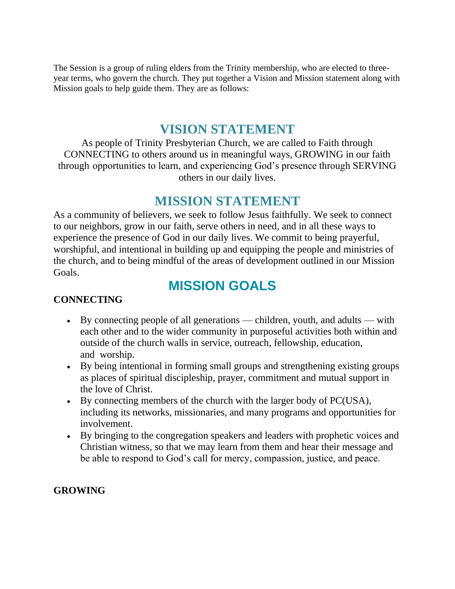The Session is a group of ruling elders from the Trinity membership, who are elected to threeyear terms, who govern the church. They put together a Vision and Mission statement along with Mission goals to help guide them. They are as follows:

## **VISION STATEMENT**

As people of Trinity Presbyterian Church, we are called to Faith through CONNECTING to others around us in meaningful ways, GROWING in our faith through opportunities to learn, and experiencing God's presence through SERVING others in our daily lives.

## **MISSION STATEMENT**

As a community of believers, we seek to follow Jesus faithfully. We seek to connect to our neighbors, grow in our faith, serve others in need, and in all these ways to experience the presence of God in our daily lives. We commit to being prayerful, worshipful, and intentional in building up and equipping the people and ministries of the church, and to being mindful of the areas of development outlined in our Mission Goals.

# **MISSION GOALS**

#### **CONNECTING**

- By connecting people of all generations children, youth, and adults with each other and to the wider community in purposeful activities both within and outside of the church walls in service, outreach, fellowship, education, and worship.
- By being intentional in forming small groups and strengthening existing groups as places of spiritual discipleship, prayer, commitment and mutual support in the love of Christ.
- By connecting members of the church with the larger body of PC(USA), including its networks, missionaries, and many programs and opportunities for involvement.
- By bringing to the congregation speakers and leaders with prophetic voices and Christian witness, so that we may learn from them and hear their message and be able to respond to God's call for mercy, compassion, justice, and peace.

#### **GROWING**